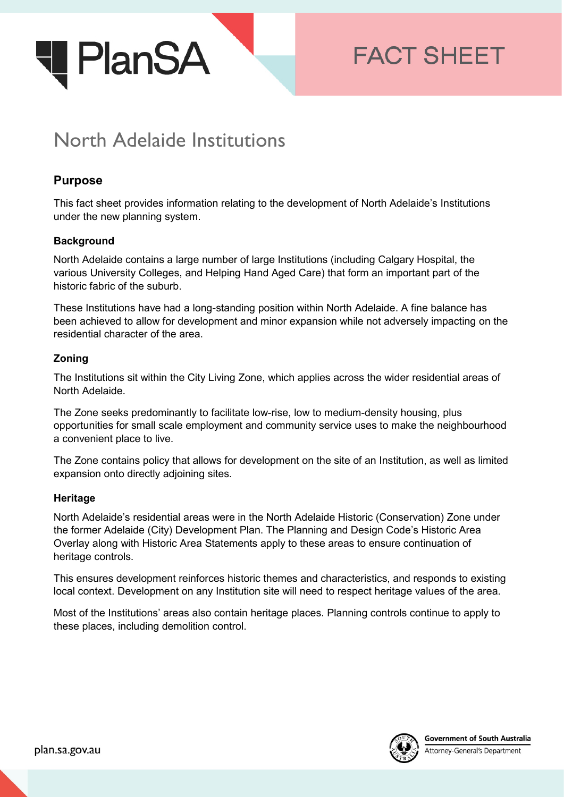

# **FACT SHEET**

## North Adelaide Institutions

### **Purpose**

This fact sheet provides information relating to the development of North Adelaide's Institutions under the new planning system.

#### **Background**

North Adelaide contains a large number of large Institutions (including Calgary Hospital, the various University Colleges, and Helping Hand Aged Care) that form an important part of the historic fabric of the suburb.

These Institutions have had a long-standing position within North Adelaide. A fine balance has been achieved to allow for development and minor expansion while not adversely impacting on the residential character of the area.

#### **Zoning**

The Institutions sit within the City Living Zone, which applies across the wider residential areas of North Adelaide.

The Zone seeks predominantly to facilitate low-rise, low to medium-density housing, plus opportunities for small scale employment and community service uses to make the neighbourhood a convenient place to live.

The Zone contains policy that allows for development on the site of an Institution, as well as limited expansion onto directly adjoining sites.

#### **Heritage**

North Adelaide's residential areas were in the North Adelaide Historic (Conservation) Zone under the former Adelaide (City) Development Plan. The Planning and Design Code's Historic Area Overlay along with Historic Area Statements apply to these areas to ensure continuation of heritage controls.

This ensures development reinforces historic themes and characteristics, and responds to existing local context. Development on any Institution site will need to respect heritage values of the area.

Most of the Institutions' areas also contain heritage places. Planning controls continue to apply to these places, including demolition control.

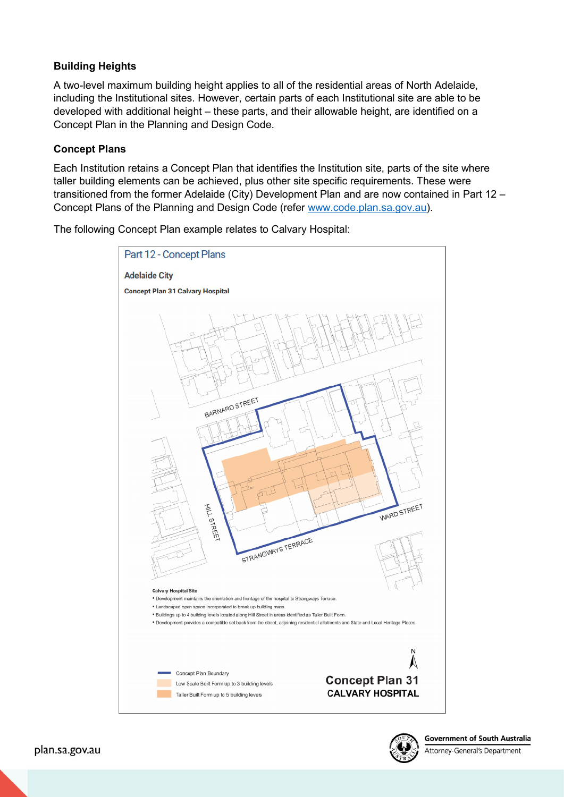#### **Building Heights**

A two-level maximum building height applies to all of the residential areas of North Adelaide, including the Institutional sites. However, certain parts of each Institutional site are able to be developed with additional height – these parts, and their allowable height, are identified on a Concept Plan in the Planning and Design Code.

#### **Concept Plans**

Each Institution retains a Concept Plan that identifies the Institution site, parts of the site where taller building elements can be achieved, plus other site specific requirements. These were transitioned from the former Adelaide (City) Development Plan and are now contained in Part 12 – Concept Plans of the Planning and Design Code (refer [www.code.plan.sa.gov.au\)](http://www.code.plan.sa.gov.au/).

The following Concept Plan example relates to Calvary Hospital:





Attorney-General's Department